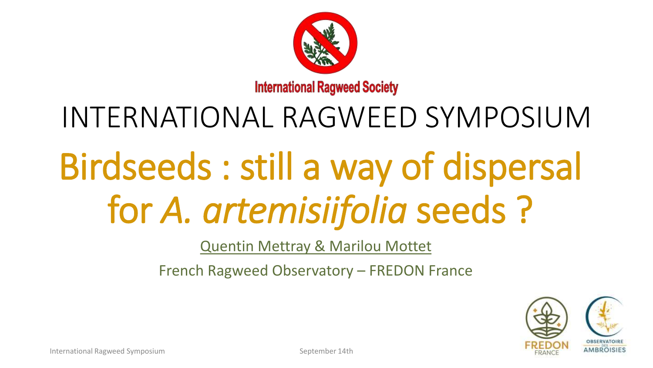

## INTERNATIONAL RAGWEED SYMPOSIUM

# Birdseeds : still a way of dispersal for *A. artemisiifolia* seeds ?

Quentin Mettray & Marilou Mottet

French Ragweed Observatory – FREDON France

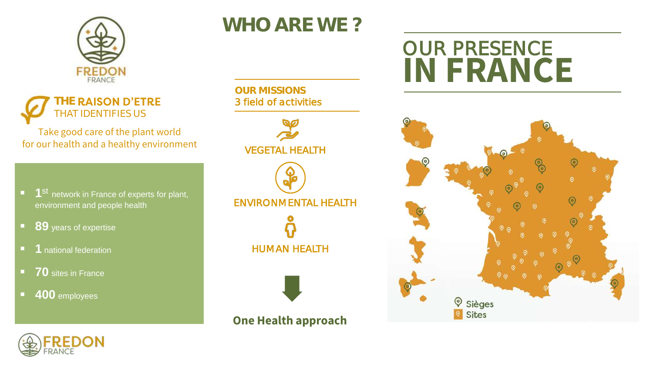

#### **HE RAISON D'ETRE** THAT IDENTIFIES US

Take good care of the plant world for our health and a healthy environment

- 1<sup>st</sup> network in France of experts for plant, environment and people health
- **89** years of expertise
- **<u>■**</u> 1 national federation
- **70** sites in France
- **400** employees

### **WHO ARE WE ?**

**OUR MISSIONS** 3 field of activities



**One Health approach**

### OUR PRESENCE **IN FRANCE**



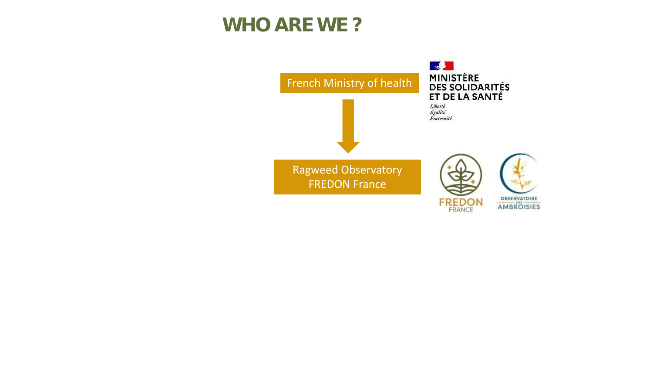#### **WHO ARE WE ?**

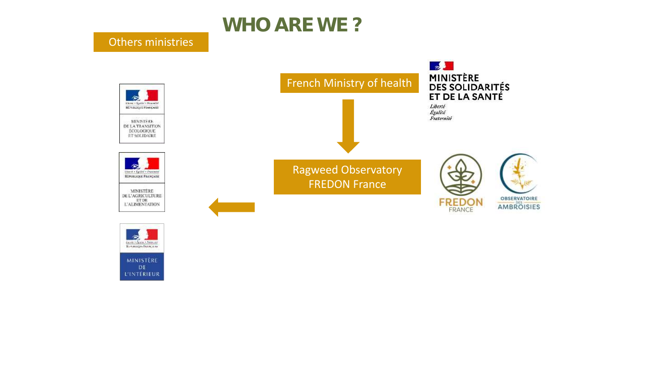

#### Others ministries

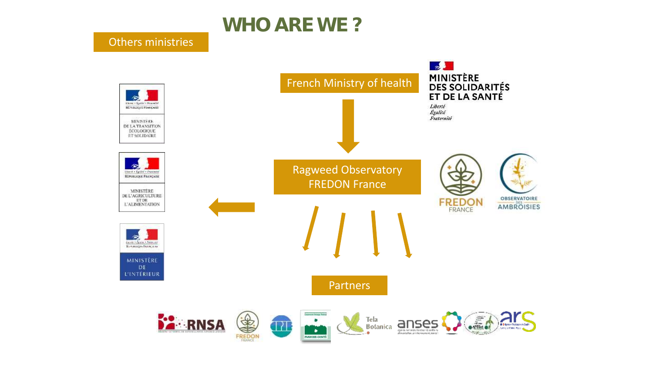

#### Others ministries

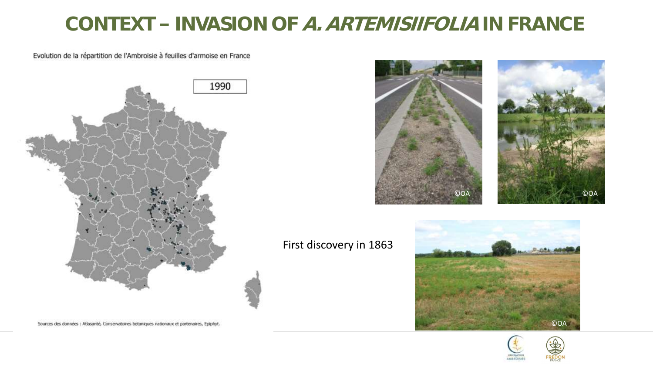#### **CONTEXT INVASION OF A. ARTEMISIIFOLIA IN FRANCE**

Evolution de la répartition de l'Ambroisie à feuilles d'armoise en France



Sources des données : Atlasanté, Conservatoires botaniques nationaux et partenaires, Epiphyt.



#### First discovery in 1863



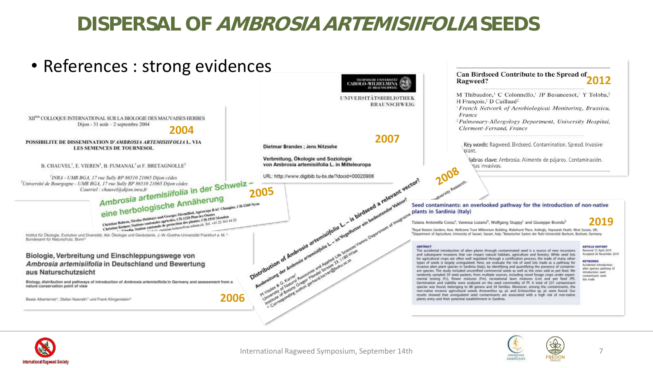#### **DISPERSAL OF AMBROSIA ARTEMISIIFOLIA SEEDS**



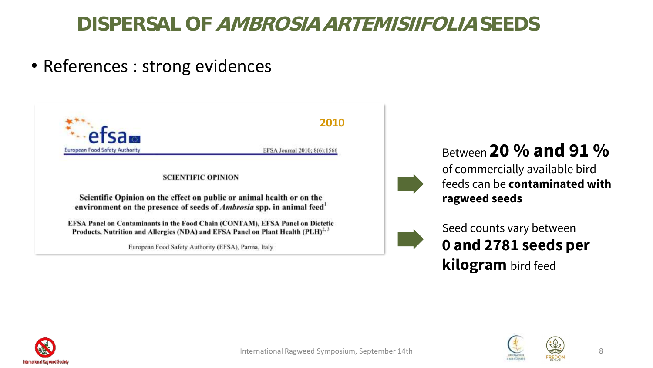#### **DISPERSAL OF AMBROSIA ARTEMISIIFOLIA SEEDS**

• References : strong evidences



Between **20 % and 91 %** 

of commercially available bird feeds can be **contaminated with ragweed seeds**



Seed counts vary between **0 and 2781 seeds per kilogram** bird feed



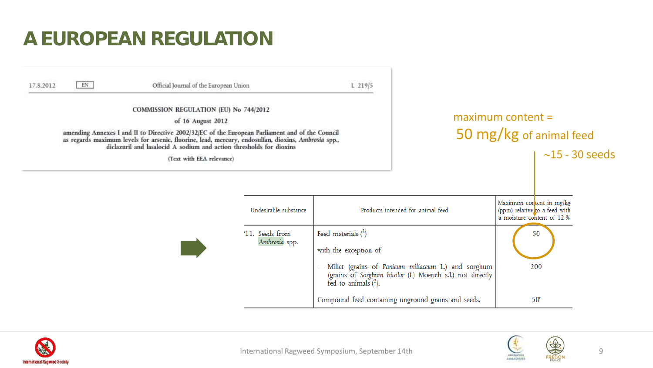#### **A EUROPEAN REGULATION**





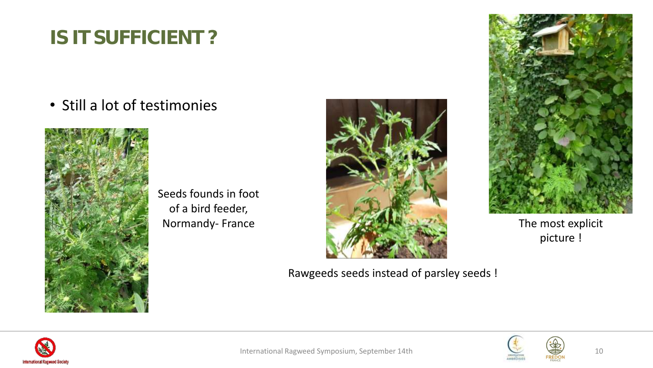### **IS IT SUFFICIENT ?**

• Still a lot of testimonies



Seeds founds in foot of a bird feeder,



Rawgeeds seeds instead of parsley seeds !



picture !



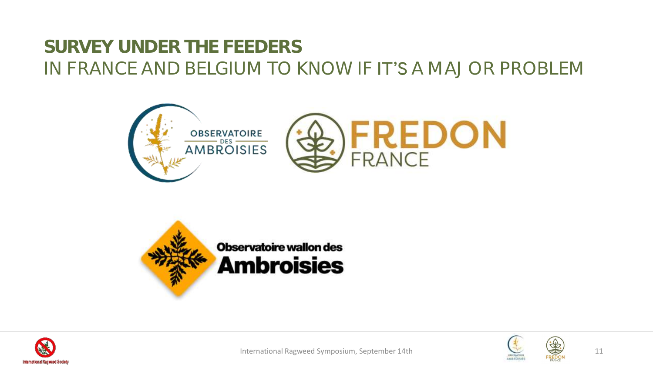#### **SURVEY UNDER THE FEEDERS** IN FRANCE AND BELGIUM TO KNOW IF **IT'S** A MAJOR PROBLEM







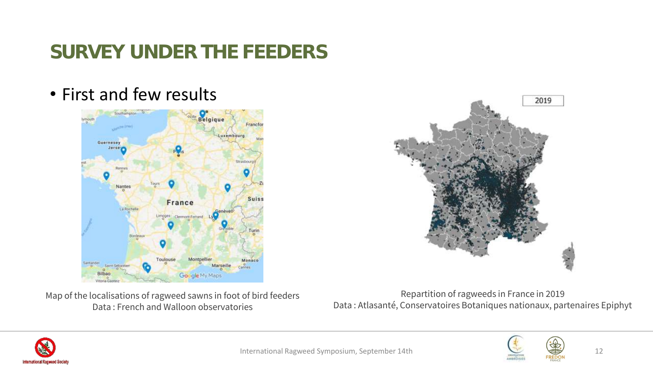### **SURVEY UNDER THE FEEDERS**

• First and few results



Map of the localisations of ragweed sawns in foot of bird feeders Data : French and Walloon observatories

Repartition of ragweeds in France in 2019 Data : Atlasanté, Conservatoires Botaniques nationaux, partenaires Epiphyt







2019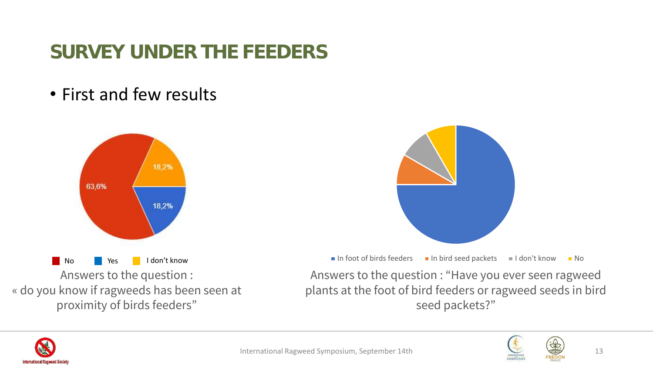### **SURVEY UNDER THE FEEDERS**

• First and few results



« do you know if ragweeds has been seen at proximity of birds feeders"

No Yes I don't know and I don't know I here is a seeders I have in the Ves I don't know I do Answers to the question : "Have you ever seen ragweed plants at the foot of bird feeders or ragweed seeds in bird seed packets?"



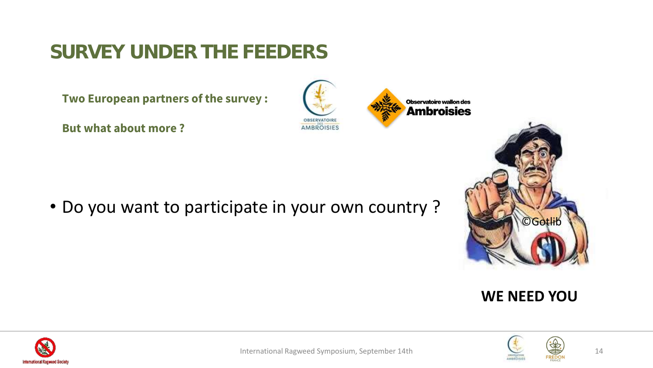#### **SURVEY UNDER THE FEEDERS**

**Two European partners of the survey :**

**But what about more ?** 

• Do you want to participate in your own country ?









OBSERVATOIRE AMBROISIES

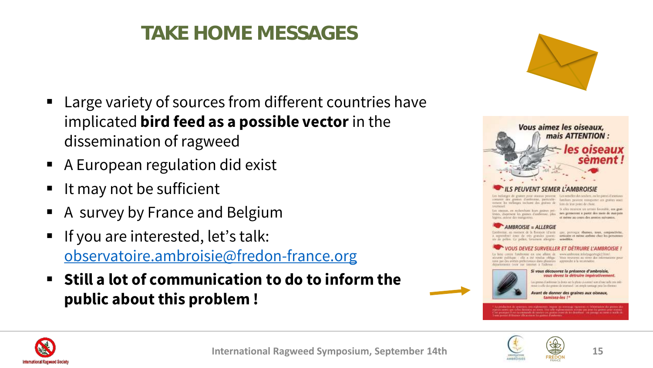### **TAKE HOME MESSAGES**

- Large variety of sources from different countries have implicated **bird feed as a possible vector** in the dissemination of ragweed
- A European regulation did exist
- It may not be sufficient
- A survey by France and Belgium
- If you are interested, let's talk: [observatoire.ambroisie@fredon-france.org](mailto:observatoire.ambroisie@fredon-france.org)
- Still a lot of communication to do to inform the **public about this problem !**





comme des grames d'antironal, patteable - familien pessent transponer des grates asset nomene les reclamps incluent des generes de juin de troppent de chine. trainesoil fournesses.<br>Les otiennes, en meloculisme leurs granes pré- le clien mement un termin foucable, que grai-

no consum, en monestant une granes pre- pes germenten a partir des mots de mat-juin acres -suicur des traingenires. et mène au cours des années suivantes.

#### **AMBROISIE = ALLERGIE**

Limburgie, an motiver de la fleration (d'artir - que, provoque vousses, sons, conjouctivité reproduct cant de vis gondes quanti- untertre et mone autone dur les personnes polion. Ce pellon, fortement allergéni- setwibles.

#### *VEZ SURVEILLER ET DETRUIRE L'AMBROISI*

come fantrous ex use alitte de www.axbona.inlo/pageMegic2.html sients published in the a cut conduct obliga. What represent an verse due informations pour in par on anties prélotmaux dan plusieurs - apprinde à la reconnaise monts (year list internet a l'adorsse



the ground directions to done not business starting ment from talktone in alle doi granes de secrico di las steple tantage prot la chiratte

Avant de donner des graïnes aux oiseau. tamisez-les !\*







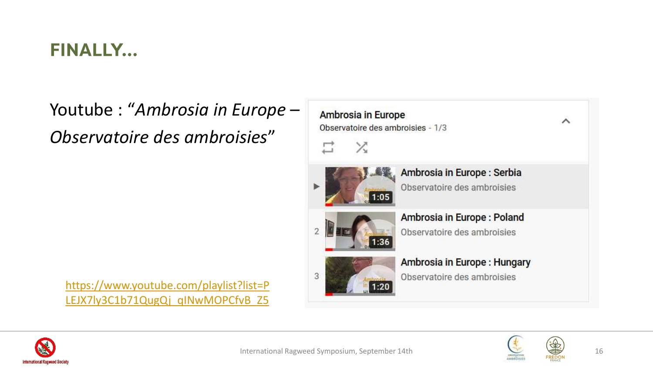#### **FINALLY...**

Youtube : "*Ambrosia in Europe – Observatoire des ambroisies*"

[https://www.youtube.com/playlist?list=P](https://www.youtube.com/playlist?list=PLEJX7ly3C1b71QugQj_qINwMOPCfvB_Z5)

LEJX7ly3C1b71QugQj\_qINwMOPCfvB\_Z5